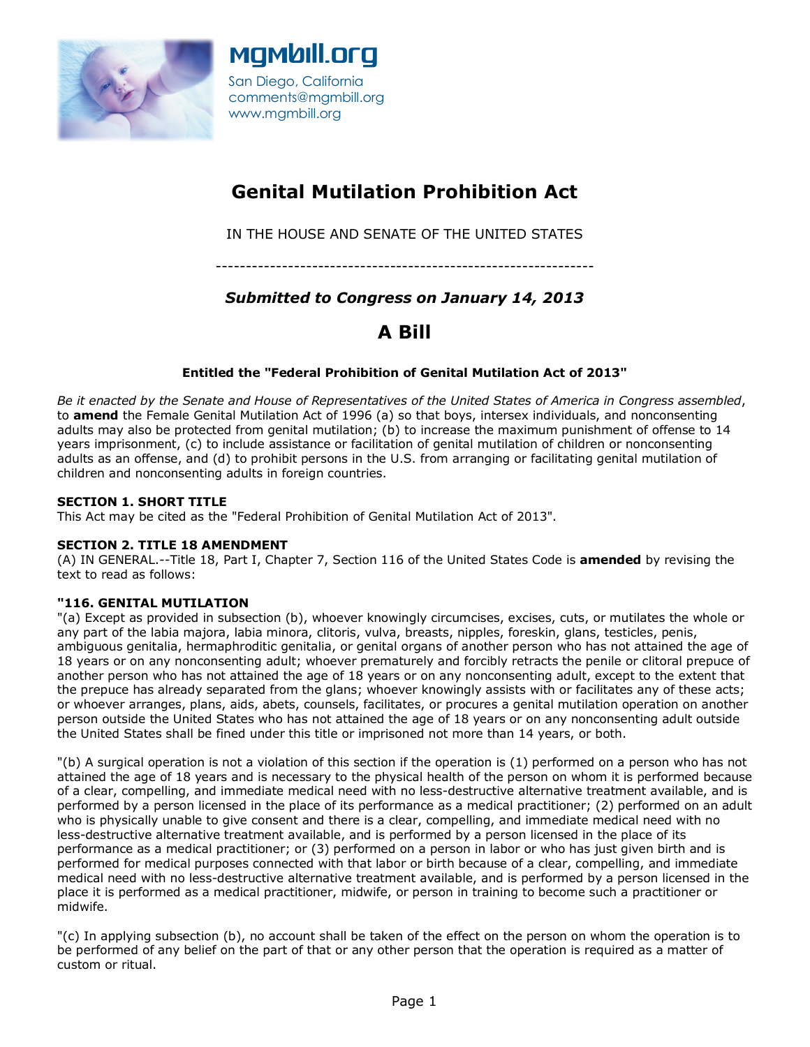



# **Genital Mutilation Prohibition Act**

IN THE HOUSE AND SENATE OF THE UNITED STATES

---------------------------------------------------------------

## *Submitted to Congress on January 14, 2013*

# **A Bill**

### **Entitled the "Federal Prohibition of Genital Mutilation Act of 2013"**

*Be it enacted by the Senate and House of Representatives of the United States of America in Congress assembled*, to **amend** the Female Genital Mutilation Act of 1996 (a) so that boys, intersex individuals, and nonconsenting adults may also be protected from genital mutilation; (b) to increase the maximum punishment of offense to 14 years imprisonment, (c) to include assistance or facilitation of genital mutilation of children or nonconsenting adults as an offense, and (d) to prohibit persons in the U.S. from arranging or facilitating genital mutilation of children and nonconsenting adults in foreign countries.

### **SECTION 1. SHORT TITLE**

This Act may be cited as the "Federal Prohibition of Genital Mutilation Act of 2013".

### **SECTION 2. TITLE 18 AMENDMENT**

(A) IN GENERAL.--Title 18, Part I, Chapter 7, Section 116 of the United States Code is **amended** by revising the text to read as follows:

#### **"116. GENITAL MUTILATION**

"(a) Except as provided in subsection (b), whoever knowingly circumcises, excises, cuts, or mutilates the whole or any part of the labia majora, labia minora, clitoris, vulva, breasts, nipples, foreskin, glans, testicles, penis, ambiguous genitalia, hermaphroditic genitalia, or genital organs of another person who has not attained the age of 18 years or on any nonconsenting adult; whoever prematurely and forcibly retracts the penile or clitoral prepuce of another person who has not attained the age of 18 years or on any nonconsenting adult, except to the extent that the prepuce has already separated from the glans; whoever knowingly assists with or facilitates any of these acts; or whoever arranges, plans, aids, abets, counsels, facilitates, or procures a genital mutilation operation on another person outside the United States who has not attained the age of 18 years or on any nonconsenting adult outside the United States shall be fined under this title or imprisoned not more than 14 years, or both.

"(b) A surgical operation is not a violation of this section if the operation is (1) performed on a person who has not attained the age of 18 years and is necessary to the physical health of the person on whom it is performed because of a clear, compelling, and immediate medical need with no less-destructive alternative treatment available, and is performed by a person licensed in the place of its performance as a medical practitioner; (2) performed on an adult who is physically unable to give consent and there is a clear, compelling, and immediate medical need with no less-destructive alternative treatment available, and is performed by a person licensed in the place of its performance as a medical practitioner; or (3) performed on a person in labor or who has just given birth and is performed for medical purposes connected with that labor or birth because of a clear, compelling, and immediate medical need with no less-destructive alternative treatment available, and is performed by a person licensed in the place it is performed as a medical practitioner, midwife, or person in training to become such a practitioner or midwife.

"(c) In applying subsection (b), no account shall be taken of the effect on the person on whom the operation is to be performed of any belief on the part of that or any other person that the operation is required as a matter of custom or ritual.